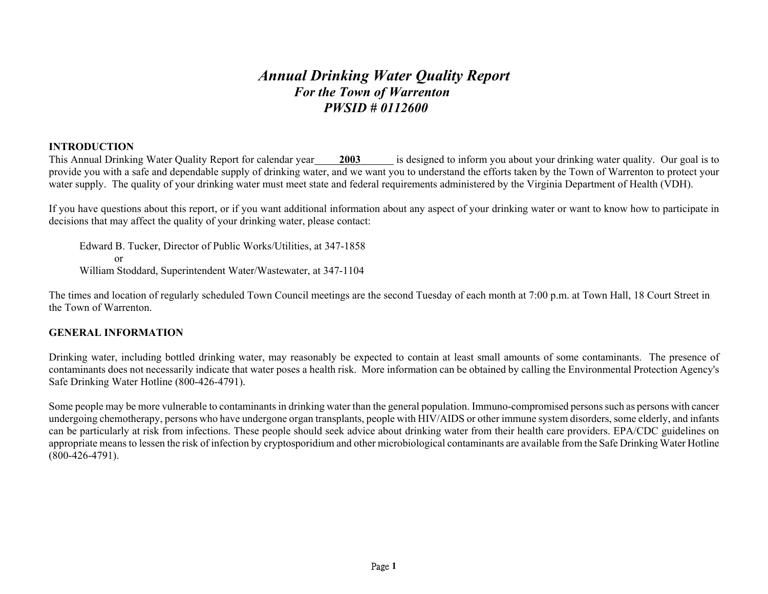# *Annual Drinking Water Quality Report For the Town of Warrenton PWSID # 0112600*

# **INTRODUCTION**

This Annual Drinking Water Quality Report for calendar year **2003** is designed to inform you about your drinking water quality. Our goal is to provide you with a safe and dependable supply of drinking water, and we want you to understand the efforts taken by the Town of Warrenton to protect your water supply. The quality of your drinking water must meet state and federal requirements administered by the Virginia Department of Health (VDH).

If you have questions about this report, or if you want additional information about any aspect of your drinking water or want to know how to participate in decisions that may affect the quality of your drinking water, please contact:

Edward B. Tucker, Director of Public Works/Utilities, at 347-1858 or William Stoddard, Superintendent Water/Wastewater, at 347-1104

The times and location of regularly scheduled Town Council meetings are the second Tuesday of each month at 7:00 p.m. at Town Hall, 18 Court Street in the Town of Warrenton.

## **GENERAL INFORMATION**

Drinking water, including bottled drinking water, may reasonably be expected to contain at least small amounts of some contaminants. The presence of contaminants does not necessarily indicate that water poses a health risk. More information can be obtained by calling the Environmental Protection Agency's Safe Drinking Water Hotline (800-426-4791).

Some people may be more vulnerable to contaminants in drinking water than the general population. Immuno-compromised persons such as persons with cancer undergoing chemotherapy, persons who have undergone organ transplants, people with HIV/AIDS or other immune system disorders, some elderly, and infants can be particularly at risk from infections. These people should seek advice about drinking water from their health care providers. EPA/CDC guidelines on appropriate means to lessen the risk of infection by cryptosporidium and other microbiological contaminants are available from the Safe Drinking Water Hotline  $(800 - 426 - 4791)$ .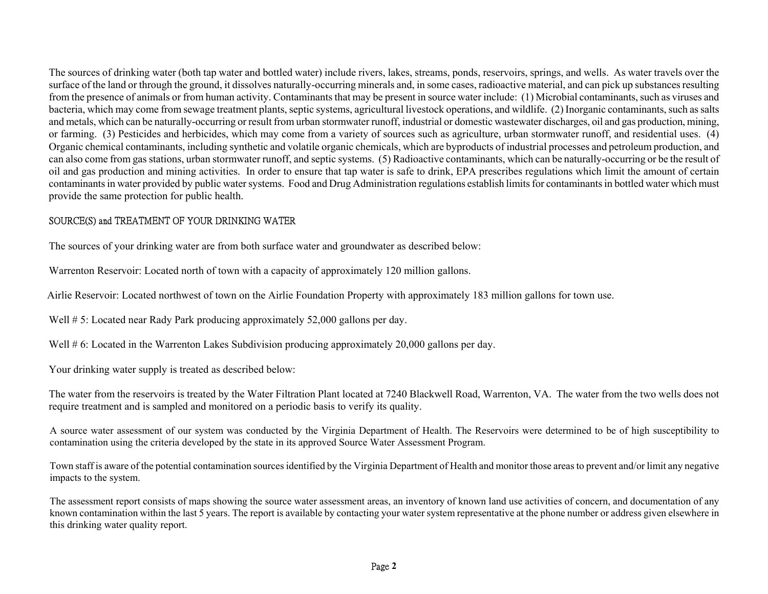The sources of drinking water (both tap water and bottled water) include rivers, lakes, streams, ponds, reservoirs, springs, and wells. As water travels over the surface of the land or through the ground, it dissolves naturally-occurring minerals and, in some cases, radioactive material, and can pick up substances resulting from the presence of animals or from human activity. Contaminants that may be present in source water include: (1) Microbial contaminants, such as viruses and bacteria, which may come from sewage treatment plants, septic systems, agricultural livestock operations, and wildlife. (2) Inorganic contaminants, such as salts and metals, which can be naturally-occurring or result from urban stormwater runoff, industrial or domestic wastewater discharges, oil and gas production, mining, or farming. (3) Pesticides and herbicides, which may come from a variety of sources such as agriculture, urban stormwater runoff, and residential uses. (4) Organic chemical contaminants, including synthetic and volatile organic chemicals, which are byproducts of industrial processes and petroleum production, and can also come from gas stations, urban stormwater runoff, and septic systems. (5) Radioactive contaminants, which can be naturally-occurring or be the result of oil and gas production and mining activities. In order to ensure that tap water is safe to drink, EPA prescribes regulations which limit the amount of certain contaminants in water provided by public water systems. Food and Drug Administration regulations establish limits for contaminants in bottled water which must provide the same protection for public health.

# SOURCE(S) and TREATMENT OF YOUR DRINKING WATER

The sources of your drinking water are from both surface water and groundwater as described below:

Warrenton Reservoir: Located north of town with a capacity of approximately 120 million gallons.

Airlie Reservoir: Located northwest of town on the Airlie Foundation Property with approximately 183 million gallons for town use.

Well # 5: Located near Rady Park producing approximately 52,000 gallons per day.

Well # 6: Located in the Warrenton Lakes Subdivision producing approximately 20,000 gallons per day.

Your drinking water supply is treated as described below:

The water from the reservoirs is treated by the Water Filtration Plant located at 7240 Blackwell Road, Warrenton, VA. The water from the two wells does not require treatment and is sampled and monitored on a periodic basis to verify its quality.

A source water assessment of our system was conducted by the Virginia Department of Health. The Reservoirs were determined to be of high susceptibility to contamination using the criteria developed by the state in its approved Source Water Assessment Program.

Town staff is aware of the potential contamination sources identified by the Virginia Department of Health and monitor those areas to prevent and/or limit any negative impacts to the system.

The assessment report consists of maps showing the source water assessment areas, an inventory of known land use activities of concern, and documentation of any known contamination within the last 5 years. The report is available by contacting your water system representative at the phone number or address given elsewhere in this drinking water quality report.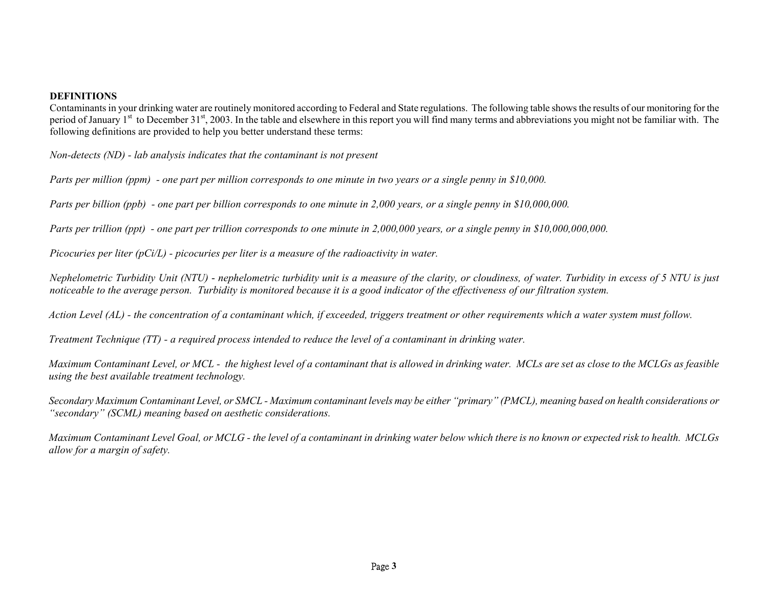#### **DEFINITIONS**

Contaminants in your drinking water are routinely monitored according to Federal and State regulations. The following table shows the results of our monitoring for the period of January 1<sup>st</sup> to December 31<sup>st</sup>, 2003. In the table and elsewhere in this report you will find many terms and abbreviations you might not be familiar with. The following definitions are provided to help you better understand these terms:

*Non-detects (ND) - lab analysis indicates that the contaminant is not present* 

*Parts per million (ppm) - one part per million corresponds to one minute in two years or a single penny in \$10,000.* 

*Parts per billion (ppb) - one part per billion corresponds to one minute in 2,000 years, or a single penny in \$10,000,000.* 

*Parts per trillion (ppt) - one part per trillion corresponds to one minute in 2,000,000 years, or a single penny in \$10,000,000,000.* 

*Picocuries per liter (pCi/L) - picocuries per liter is a measure of the radioactivity in water.* 

*Nephelometric Turbidity Unit (NTU)* - *nephelometric turbidity unit is a measure of the clarity, or cloudiness, of water. Turbidity in excess of 5 NTU is just noticeable to the average person. Turbidity is monitored because it is a good indicator of the effectiveness of our filtration system.* 

*Action Level (AL) - the concentration of a contaminant which, if exceeded, triggers treatment or other requirements which a water system must follow.* 

*Treatment Technique (TT) - a required process intended to reduce the level of a contaminant in drinking water.* 

*Maximum Contaminant Level, or MCL - the highest level of a contaminant that is allowed in drinking water. MCLs are set as close to the MCLGs as feasible using the best available treatment technology.* 

*Secondary Maximum Contaminant Level, or SMCL - Maximum contaminant levels may be either "primary" (PMCL), meaning based on health considerations or "secondary" (SCML) meaning based on aesthetic considerations.* 

*Maximum Contaminant Level Goal, or MCLG - the level of a contaminant in drinking water below which there is no known or expected risk to health. MCLGs allow for a margin of safety.*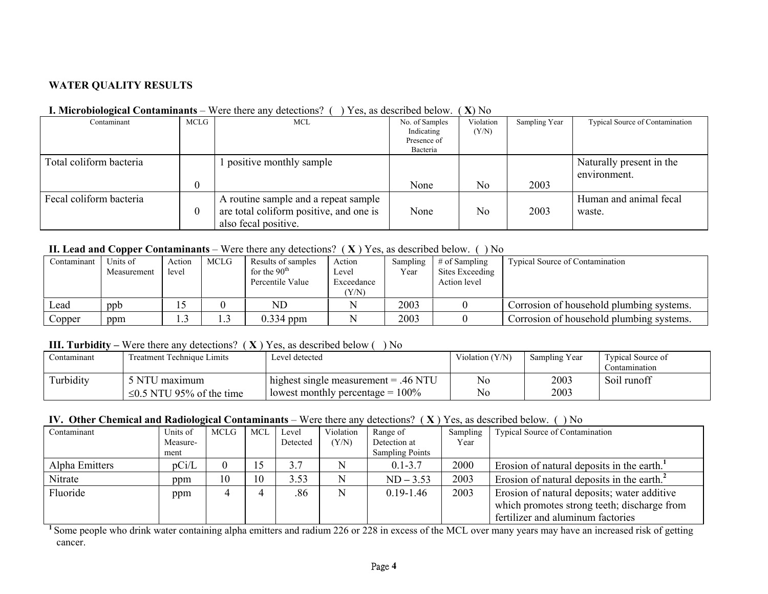# **WATER QUALITY RESULTS**

| <b>I. Microbiological Contaminants</b> – Were there any detections? $($ ) Yes, as described below. $(X)$ No |
|-------------------------------------------------------------------------------------------------------------|
|-------------------------------------------------------------------------------------------------------------|

| Contaminant             | MCLG | MCL                                                                                                     | No. of Samples<br>Indicating<br>Presence of<br>Bacteria | Violation<br>(Y/N) | Sampling Year | Typical Source of Contamination          |
|-------------------------|------|---------------------------------------------------------------------------------------------------------|---------------------------------------------------------|--------------------|---------------|------------------------------------------|
| Total coliform bacteria |      | positive monthly sample                                                                                 | None                                                    | N <sub>0</sub>     | 2003          | Naturally present in the<br>environment. |
| Fecal coliform bacteria |      | A routine sample and a repeat sample<br>are total coliform positive, and one is<br>also fecal positive. | None                                                    | N <sub>0</sub>     | 2003          | Human and animal fecal<br>waste.         |

#### **II. Lead and Copper Contaminants** – Were there any detections? ( **X** ) Yes, as described below. ( ) No

| Contaminant | Units of<br>Measurement | Action<br>level | MCLG | Results of samples<br>for the $90th$<br>Percentile Value | Action<br>Level<br>Exceedance<br>(Y/N) | Sampling<br>Year | $#$ of Sampling<br>Sites Exceeding<br>Action level | <b>Typical Source of Contamination</b>   |
|-------------|-------------------------|-----------------|------|----------------------------------------------------------|----------------------------------------|------------------|----------------------------------------------------|------------------------------------------|
| Lead        | ppb                     |                 |      | <b>ND</b>                                                |                                        | 2003             |                                                    | Corrosion of household plumbing systems. |
| Copper      | ppm                     |                 | 1.3  | $0.334$ ppm                                              |                                        | 2003             |                                                    | Corrosion of household plumbing systems. |

#### **III. Turbidity –** Were there any detections? ( **X** ) Yes, as described below ( ) No

| Contaminant | <b>Treatment Technique Limits</b> | Level detected                             | Violation (Y/N) | Sampling Year | <b>Typical Source of</b><br>.)ontamınatıon |
|-------------|-----------------------------------|--------------------------------------------|-----------------|---------------|--------------------------------------------|
| Turbidity   | 5 NTU maximum                     | $\mu$ highest single measurement = .46 NTU | No              | 2003          | Soil runoff                                |
|             | $\leq$ 0.5 NTU 95% of the time    | lowest monthly percentage $= 100\%$        | N <sub>0</sub>  | 2003          |                                            |

# **IV. Other Chemical and Radiological Contaminants** – Were there any detections? ( **X** ) Yes, as described below. ( ) No

| Contaminant    | Units of | <b>MCLG</b> | <b>MCL</b> | Level    | Violation | Range of               | Sampling | <b>Typical Source of Contamination</b>                 |
|----------------|----------|-------------|------------|----------|-----------|------------------------|----------|--------------------------------------------------------|
|                | Measure- |             |            | Detected | (Y/N)     | Detection at           | Year     |                                                        |
|                | ment     |             |            |          |           | <b>Sampling Points</b> |          |                                                        |
| Alpha Emitters | pCi/L    |             | $\sim$     | 3.7      | N         | $0.1 - 3.7$            | 2000     | Erosion of natural deposits in the earth. <sup>1</sup> |
| Nitrate        | ppm      | 10          | 10         | 3.53     | N         | $ND - 3.53$            | 2003     | Erosion of natural deposits in the earth. <sup>2</sup> |
| Fluoride       | ppm      |             |            | .86      | N         | $0.19 - 1.46$          | 2003     | Erosion of natural deposits; water additive            |
|                |          |             |            |          |           |                        |          | which promotes strong teeth; discharge from            |
|                |          |             |            |          |           |                        |          | fertilizer and aluminum factories                      |

<sup>1</sup> Some people who drink water containing alpha emitters and radium 226 or 228 in excess of the MCL over many years may have an increased risk of getting cancer.